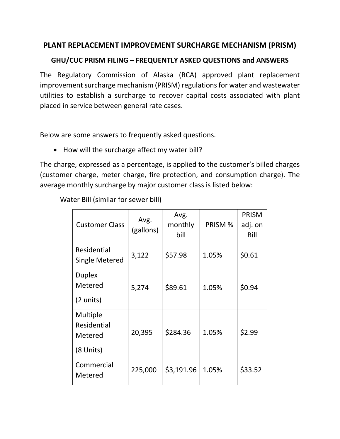## **PLANT REPLACEMENT IMPROVEMENT SURCHARGE MECHANISM (PRISM)**

## **GHU/CUC PRISM FILING – FREQUENTLY ASKED QUESTIONS and ANSWERS**

The Regulatory Commission of Alaska (RCA) approved plant replacement improvement surcharge mechanism (PRISM) regulations for water and wastewater utilities to establish a surcharge to recover capital costs associated with plant placed in service between general rate cases.

Below are some answers to frequently asked questions.

• How will the surcharge affect my water bill?

The charge, expressed as a percentage, is applied to the customer's billed charges (customer charge, meter charge, fire protection, and consumption charge). The average monthly surcharge by major customer class is listed below:

Water Bill (similar for sewer bill)

| <b>Customer Class</b>                           | Avg.<br>(gallons) | Avg.<br>monthly<br>bill | PRISM % | <b>PRISM</b><br>adj. on<br>Bill |
|-------------------------------------------------|-------------------|-------------------------|---------|---------------------------------|
| Residential<br>Single Metered                   | 3,122             | \$57.98                 | 1.05%   | \$0.61                          |
| <b>Duplex</b><br>Metered<br>(2 units)           | 5,274             | \$89.61                 | 1.05%   | \$0.94                          |
| Multiple<br>Residential<br>Metered<br>(8 Units) | 20,395            | \$284.36                | 1.05%   | \$2.99                          |
| Commercial<br>Metered                           | 225,000           | \$3,191.96              | 1.05%   | \$33.52                         |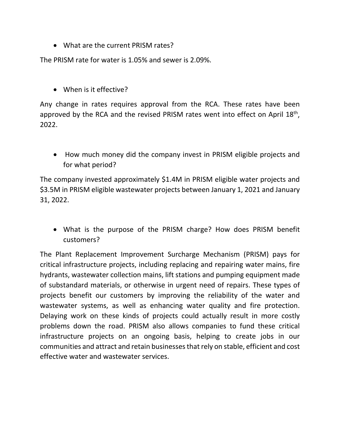• What are the current PRISM rates?

The PRISM rate for water is 1.05% and sewer is 2.09%.

• When is it effective?

Any change in rates requires approval from the RCA. These rates have been approved by the RCA and the revised PRISM rates went into effect on April 18<sup>th</sup>, 2022.

• How much money did the company invest in PRISM eligible projects and for what period?

The company invested approximately \$1.4M in PRISM eligible water projects and \$3.5M in PRISM eligible wastewater projects between January 1, 2021 and January 31, 2022.

• What is the purpose of the PRISM charge? How does PRISM benefit customers?

The Plant Replacement Improvement Surcharge Mechanism (PRISM) pays for critical infrastructure projects, including replacing and repairing water mains, fire hydrants, wastewater collection mains, lift stations and pumping equipment made of substandard materials, or otherwise in urgent need of repairs. These types of projects benefit our customers by improving the reliability of the water and wastewater systems, as well as enhancing water quality and fire protection. Delaying work on these kinds of projects could actually result in more costly problems down the road. PRISM also allows companies to fund these critical infrastructure projects on an ongoing basis, helping to create jobs in our communities and attract and retain businesses that rely on stable, efficient and cost effective water and wastewater services.